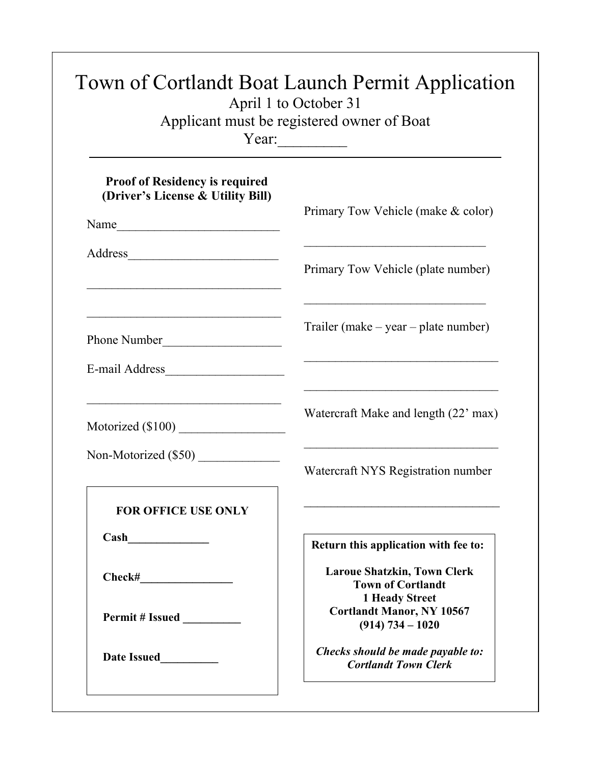|                                                                            | April 1 to October 31<br>Applicant must be registered owner of Boat<br>Year: $\qquad \qquad$ |
|----------------------------------------------------------------------------|----------------------------------------------------------------------------------------------|
| <b>Proof of Residency is required</b><br>(Driver's License & Utility Bill) | Primary Tow Vehicle (make & color)                                                           |
|                                                                            | Primary Tow Vehicle (plate number)                                                           |
| Phone Number                                                               | Trailer (make $-$ year $-$ plate number)                                                     |
|                                                                            | Watercraft Make and length (22' max)                                                         |
| Non-Motorized $(\$50)$                                                     | Watercraft NYS Registration number                                                           |
| <b>FOR OFFICE USE ONLY</b>                                                 |                                                                                              |
| Cash                                                                       | Return this application with fee to:                                                         |
| Check#                                                                     | <b>Laroue Shatzkin, Town Clerk</b><br><b>Town of Cortlandt</b><br>1 Heady Street             |
| <b>Permit # Issued</b>                                                     | <b>Cortlandt Manor, NY 10567</b><br>$(914) 734 - 1020$                                       |
|                                                                            | Checks should be made payable to:<br><b>Cortlandt Town Clerk</b>                             |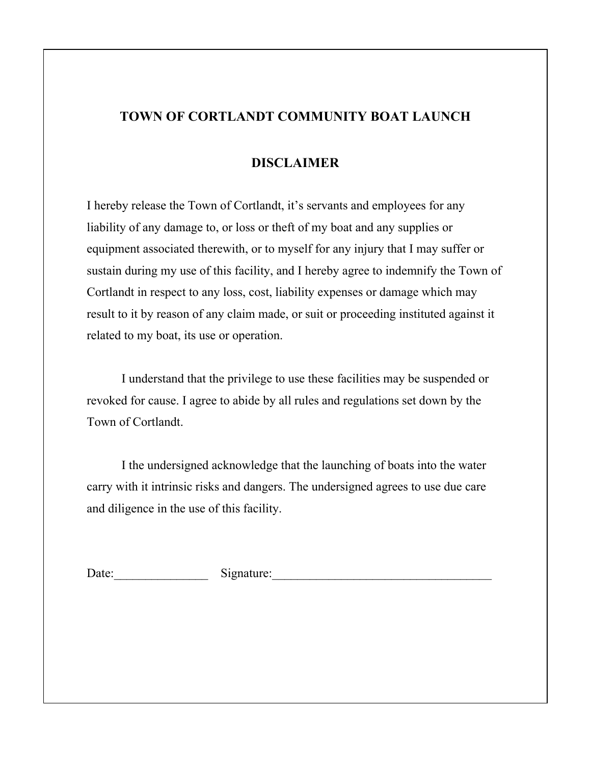## **TOWN OF CORTLANDT COMMUNITY BOAT LAUNCH**

## **DISCLAIMER**

I hereby release the Town of Cortlandt, it's servants and employees for any liability of any damage to, or loss or theft of my boat and any supplies or equipment associated therewith, or to myself for any injury that I may suffer or sustain during my use of this facility, and I hereby agree to indemnify the Town of Cortlandt in respect to any loss, cost, liability expenses or damage which may result to it by reason of any claim made, or suit or proceeding instituted against it related to my boat, its use or operation.

 I understand that the privilege to use these facilities may be suspended or revoked for cause. I agree to abide by all rules and regulations set down by the Town of Cortlandt.

 I the undersigned acknowledge that the launching of boats into the water carry with it intrinsic risks and dangers. The undersigned agrees to use due care and diligence in the use of this facility.

| Date: | Signature: |
|-------|------------|
|       |            |